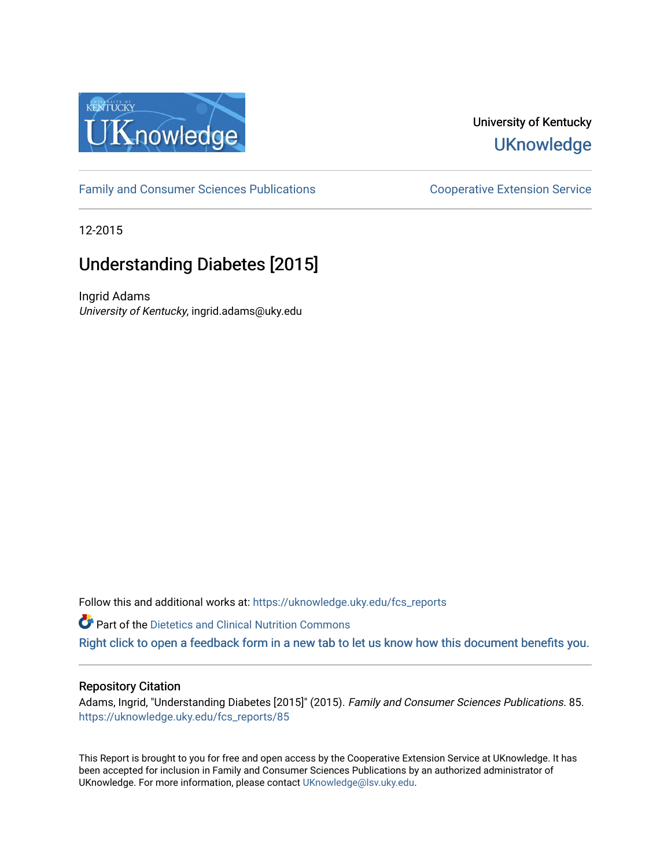

## University of Kentucky **UKnowledge**

[Family and Consumer Sciences Publications](https://uknowledge.uky.edu/fcs_reports) **Consumer Science Extension Service** Cooperative Extension Service

12-2015

# Understanding Diabetes [2015]

Ingrid Adams University of Kentucky, ingrid.adams@uky.edu

Follow this and additional works at: [https://uknowledge.uky.edu/fcs\\_reports](https://uknowledge.uky.edu/fcs_reports?utm_source=uknowledge.uky.edu%2Ffcs_reports%2F85&utm_medium=PDF&utm_campaign=PDFCoverPages) 

Part of the [Dietetics and Clinical Nutrition Commons](http://network.bepress.com/hgg/discipline/662?utm_source=uknowledge.uky.edu%2Ffcs_reports%2F85&utm_medium=PDF&utm_campaign=PDFCoverPages)  [Right click to open a feedback form in a new tab to let us know how this document benefits you.](https://uky.az1.qualtrics.com/jfe/form/SV_9mq8fx2GnONRfz7)

## Repository Citation

Adams, Ingrid, "Understanding Diabetes [2015]" (2015). Family and Consumer Sciences Publications. 85. [https://uknowledge.uky.edu/fcs\\_reports/85](https://uknowledge.uky.edu/fcs_reports/85?utm_source=uknowledge.uky.edu%2Ffcs_reports%2F85&utm_medium=PDF&utm_campaign=PDFCoverPages)

This Report is brought to you for free and open access by the Cooperative Extension Service at UKnowledge. It has been accepted for inclusion in Family and Consumer Sciences Publications by an authorized administrator of UKnowledge. For more information, please contact [UKnowledge@lsv.uky.edu](mailto:UKnowledge@lsv.uky.edu).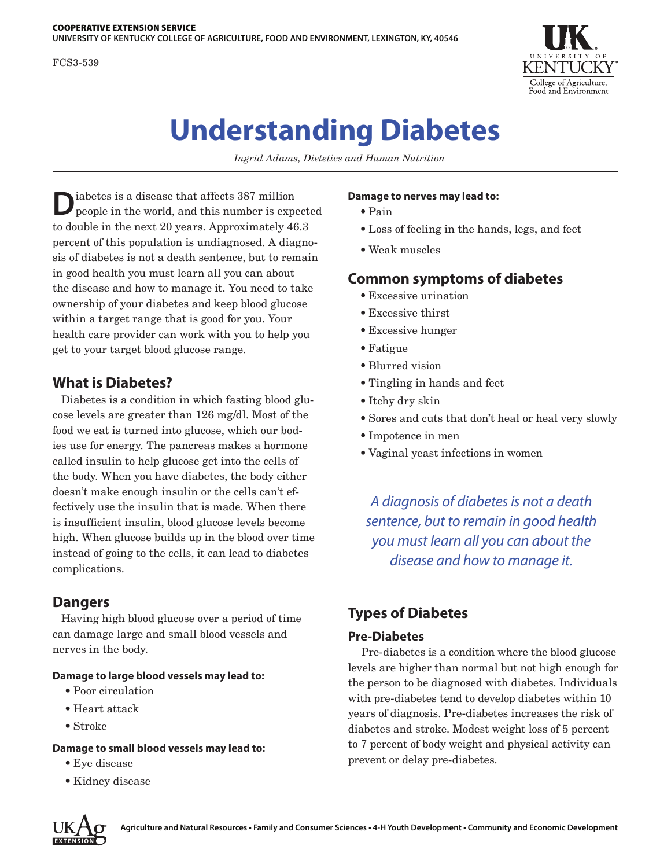FCS3-539



# **Understanding Diabetes**

*Ingrid Adams, Dietetics and Human Nutrition*

 $\begin{tabular}{|c|c|} \hline \textbf{labels} is a disease that affects 387 million people in the world, and this number is expected. \hline \end{tabular}$ to double in the next 20 years. Approximately 46.3 percent of this population is undiagnosed. A diagnosis of diabetes is not a death sentence, but to remain in good health you must learn all you can about the disease and how to manage it. You need to take ownership of your diabetes and keep blood glucose within a target range that is good for you. Your health care provider can work with you to help you get to your target blood glucose range.

## **What is Diabetes?**

Diabetes is a condition in which fasting blood glucose levels are greater than 126 mg/dl. Most of the food we eat is turned into glucose, which our bodies use for energy. The pancreas makes a hormone called insulin to help glucose get into the cells of the body. When you have diabetes, the body either doesn't make enough insulin or the cells can't effectively use the insulin that is made. When there is insufficient insulin, blood glucose levels become high. When glucose builds up in the blood over time instead of going to the cells, it can lead to diabetes complications.

## **Dangers**

Having high blood glucose over a period of time can damage large and small blood vessels and nerves in the body.

## **Damage to large blood vessels may lead to:**

- Poor circulation
- Heart attack
- Stroke

## **Damage to small blood vessels may lead to:**

- Eye disease
- Kidney disease

### **Damage to nerves may lead to:**

- Pain
- Loss of feeling in the hands, legs, and feet
- Weak muscles

## **Common symptoms of diabetes**

- Excessive urination
- Excessive thirst
- Excessive hunger
- Fatigue
- Blurred vision
- Tingling in hands and feet
- Itchy dry skin
- Sores and cuts that don't heal or heal very slowly
- Impotence in men
- Vaginal yeast infections in women

*A diagnosis of diabetes is not a death sentence, but to remain in good health you must learn all you can about the disease and how to manage it.*

## **Types of Diabetes**

## **Pre-Diabetes**

Pre-diabetes is a condition where the blood glucose levels are higher than normal but not high enough for the person to be diagnosed with diabetes. Individuals with pre-diabetes tend to develop diabetes within 10 years of diagnosis. Pre-diabetes increases the risk of diabetes and stroke. Modest weight loss of 5 percent to 7 percent of body weight and physical activity can prevent or delay pre-diabetes.